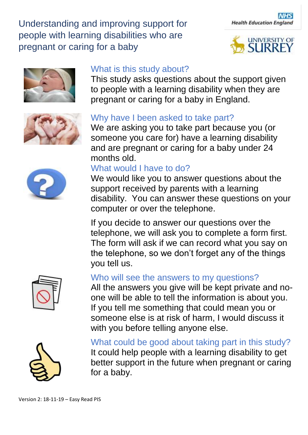







# What is this study about?

This study asks questions about the support given to people with a learning disability when they are pregnant or caring for a baby in England.

### Why have I been asked to take part?

We are asking you to take part because you (or someone you care for) have a learning disability and are pregnant or caring for a baby under 24 months old.

### What would I have to do?

We would like you to answer questions about the support received by parents with a learning disability. You can answer these questions on your computer or over the telephone.

If you decide to answer our questions over the telephone, we will ask you to complete a form first. The form will ask if we can record what you say on the telephone, so we don't forget any of the things you tell us.



#### Who will see the answers to my questions?

All the answers you give will be kept private and noone will be able to tell the information is about you. If you tell me something that could mean you or someone else is at risk of harm, I would discuss it with you before telling anyone else.



What could be good about taking part in this study? It could help people with a learning disability to get better support in the future when pregnant or caring for a baby.